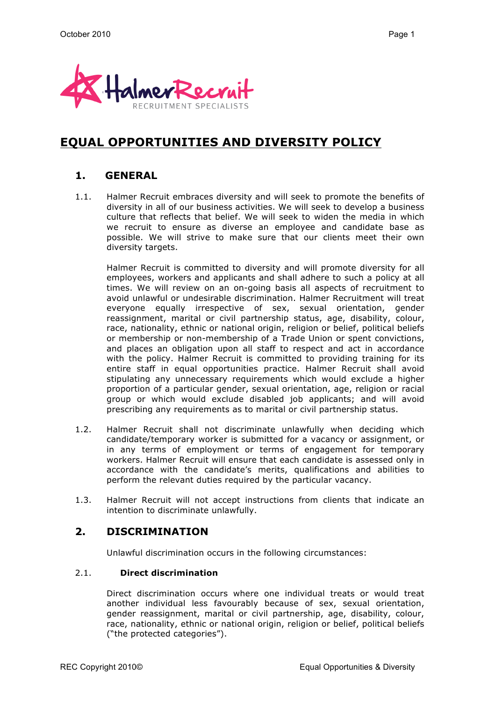

# **EQUAL OPPORTUNITIES AND DIVERSITY POLICY**

## **1. GENERAL**

1.1. Halmer Recruit embraces diversity and will seek to promote the benefits of diversity in all of our business activities. We will seek to develop a business culture that reflects that belief. We will seek to widen the media in which we recruit to ensure as diverse an employee and candidate base as possible. We will strive to make sure that our clients meet their own diversity targets.

Halmer Recruit is committed to diversity and will promote diversity for all employees, workers and applicants and shall adhere to such a policy at all times. We will review on an on-going basis all aspects of recruitment to avoid unlawful or undesirable discrimination. Halmer Recruitment will treat everyone equally irrespective of sex, sexual orientation, gender reassignment, marital or civil partnership status, age, disability, colour, race, nationality, ethnic or national origin, religion or belief, political beliefs or membership or non-membership of a Trade Union or spent convictions, and places an obligation upon all staff to respect and act in accordance with the policy. Halmer Recruit is committed to providing training for its entire staff in equal opportunities practice. Halmer Recruit shall avoid stipulating any unnecessary requirements which would exclude a higher proportion of a particular gender, sexual orientation, age, religion or racial group or which would exclude disabled job applicants; and will avoid prescribing any requirements as to marital or civil partnership status.

- 1.2. Halmer Recruit shall not discriminate unlawfully when deciding which candidate/temporary worker is submitted for a vacancy or assignment, or in any terms of employment or terms of engagement for temporary workers. Halmer Recruit will ensure that each candidate is assessed only in accordance with the candidate's merits, qualifications and abilities to perform the relevant duties required by the particular vacancy.
- 1.3. Halmer Recruit will not accept instructions from clients that indicate an intention to discriminate unlawfully.

## **2. DISCRIMINATION**

Unlawful discrimination occurs in the following circumstances:

#### 2.1. **Direct discrimination**

Direct discrimination occurs where one individual treats or would treat another individual less favourably because of sex, sexual orientation, gender reassignment, marital or civil partnership, age, disability, colour, race, nationality, ethnic or national origin, religion or belief, political beliefs ("the protected categories").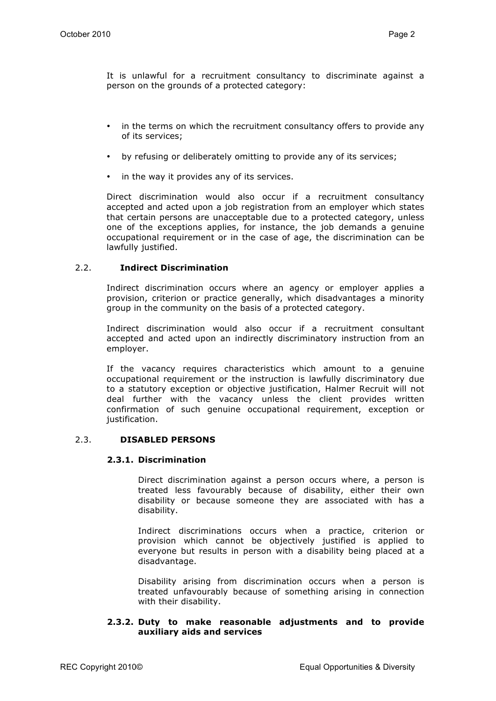It is unlawful for a recruitment consultancy to discriminate against a person on the grounds of a protected category:

- in the terms on which the recruitment consultancy offers to provide any of its services;
- by refusing or deliberately omitting to provide any of its services;
- in the way it provides any of its services.

Direct discrimination would also occur if a recruitment consultancy accepted and acted upon a job registration from an employer which states that certain persons are unacceptable due to a protected category, unless one of the exceptions applies, for instance, the job demands a genuine occupational requirement or in the case of age, the discrimination can be lawfully justified.

#### 2.2. **Indirect Discrimination**

Indirect discrimination occurs where an agency or employer applies a provision, criterion or practice generally, which disadvantages a minority group in the community on the basis of a protected category.

Indirect discrimination would also occur if a recruitment consultant accepted and acted upon an indirectly discriminatory instruction from an employer.

If the vacancy requires characteristics which amount to a genuine occupational requirement or the instruction is lawfully discriminatory due to a statutory exception or objective justification, Halmer Recruit will not deal further with the vacancy unless the client provides written confirmation of such genuine occupational requirement, exception or justification.

#### 2.3. **DISABLED PERSONS**

#### **2.3.1. Discrimination**

Direct discrimination against a person occurs where, a person is treated less favourably because of disability, either their own disability or because someone they are associated with has a disability.

Indirect discriminations occurs when a practice, criterion or provision which cannot be objectively justified is applied to everyone but results in person with a disability being placed at a disadvantage.

Disability arising from discrimination occurs when a person is treated unfavourably because of something arising in connection with their disability.

#### **2.3.2. Duty to make reasonable adjustments and to provide auxiliary aids and services**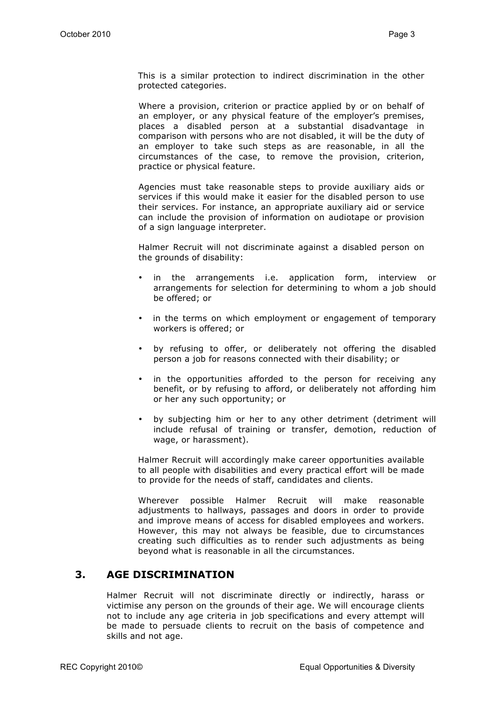This is a similar protection to indirect discrimination in the other protected categories.

Where a provision, criterion or practice applied by or on behalf of an employer, or any physical feature of the employer's premises, places a disabled person at a substantial disadvantage in comparison with persons who are not disabled, it will be the duty of an employer to take such steps as are reasonable, in all the circumstances of the case, to remove the provision, criterion, practice or physical feature.

Agencies must take reasonable steps to provide auxiliary aids or services if this would make it easier for the disabled person to use their services. For instance, an appropriate auxiliary aid or service can include the provision of information on audiotape or provision of a sign language interpreter.

Halmer Recruit will not discriminate against a disabled person on the grounds of disability:

- in the arrangements i.e. application form, interview or arrangements for selection for determining to whom a job should be offered; or
- in the terms on which employment or engagement of temporary workers is offered; or
- by refusing to offer, or deliberately not offering the disabled person a job for reasons connected with their disability; or
- in the opportunities afforded to the person for receiving any benefit, or by refusing to afford, or deliberately not affording him or her any such opportunity; or
- by subjecting him or her to any other detriment (detriment will include refusal of training or transfer, demotion, reduction of wage, or harassment).

Halmer Recruit will accordingly make career opportunities available to all people with disabilities and every practical effort will be made to provide for the needs of staff, candidates and clients.

Wherever possible Halmer Recruit will make reasonable adjustments to hallways, passages and doors in order to provide and improve means of access for disabled employees and workers. However, this may not always be feasible, due to circumstances creating such difficulties as to render such adjustments as being beyond what is reasonable in all the circumstances.

### **3. AGE DISCRIMINATION**

Halmer Recruit will not discriminate directly or indirectly, harass or victimise any person on the grounds of their age. We will encourage clients not to include any age criteria in job specifications and every attempt will be made to persuade clients to recruit on the basis of competence and skills and not age.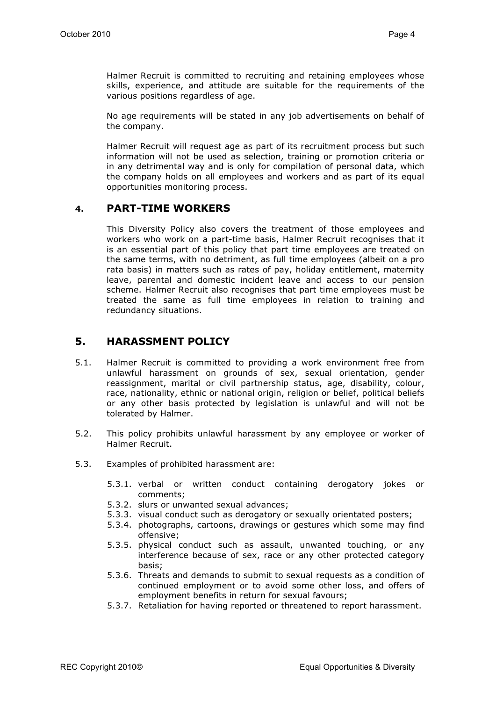Halmer Recruit is committed to recruiting and retaining employees whose skills, experience, and attitude are suitable for the requirements of the various positions regardless of age.

No age requirements will be stated in any job advertisements on behalf of the company.

Halmer Recruit will request age as part of its recruitment process but such information will not be used as selection, training or promotion criteria or in any detrimental way and is only for compilation of personal data, which the company holds on all employees and workers and as part of its equal opportunities monitoring process.

### **4. PART-TIME WORKERS**

This Diversity Policy also covers the treatment of those employees and workers who work on a part-time basis, Halmer Recruit recognises that it is an essential part of this policy that part time employees are treated on the same terms, with no detriment, as full time employees (albeit on a pro rata basis) in matters such as rates of pay, holiday entitlement, maternity leave, parental and domestic incident leave and access to our pension scheme. Halmer Recruit also recognises that part time employees must be treated the same as full time employees in relation to training and redundancy situations.

## **5. HARASSMENT POLICY**

- 5.1. Halmer Recruit is committed to providing a work environment free from unlawful harassment on grounds of sex, sexual orientation, gender reassignment, marital or civil partnership status, age, disability, colour, race, nationality, ethnic or national origin, religion or belief, political beliefs or any other basis protected by legislation is unlawful and will not be tolerated by Halmer.
- 5.2. This policy prohibits unlawful harassment by any employee or worker of Halmer Recruit.
- 5.3. Examples of prohibited harassment are:
	- 5.3.1. verbal or written conduct containing derogatory jokes or comments;
	- 5.3.2. slurs or unwanted sexual advances;
	- 5.3.3. visual conduct such as derogatory or sexually orientated posters;
	- 5.3.4. photographs, cartoons, drawings or gestures which some may find offensive;
	- 5.3.5. physical conduct such as assault, unwanted touching, or any interference because of sex, race or any other protected category basis;
	- 5.3.6. Threats and demands to submit to sexual requests as a condition of continued employment or to avoid some other loss, and offers of employment benefits in return for sexual favours;
	- 5.3.7. Retaliation for having reported or threatened to report harassment.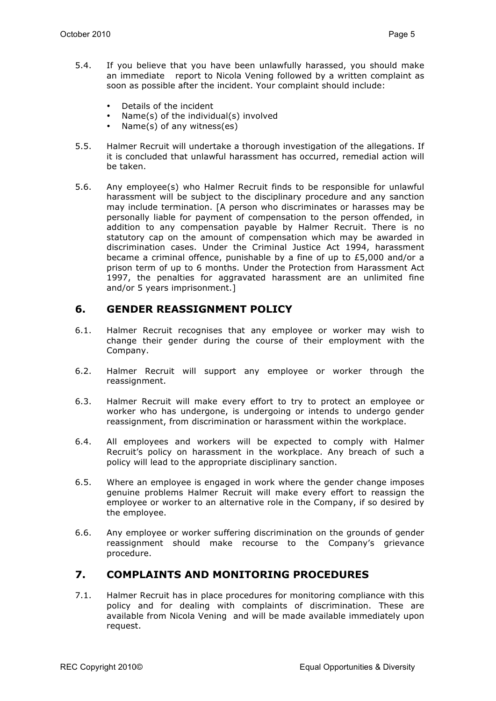- 5.4. If you believe that you have been unlawfully harassed, you should make an immediate report to Nicola Vening followed by a written complaint as soon as possible after the incident. Your complaint should include:
	- Details of the incident
	- Name(s) of the individual(s) involved
	- Name(s) of any witness(es)
- 5.5. Halmer Recruit will undertake a thorough investigation of the allegations. If it is concluded that unlawful harassment has occurred, remedial action will be taken.
- 5.6. Any employee(s) who Halmer Recruit finds to be responsible for unlawful harassment will be subject to the disciplinary procedure and any sanction may include termination. [A person who discriminates or harasses may be personally liable for payment of compensation to the person offended, in addition to any compensation payable by Halmer Recruit. There is no statutory cap on the amount of compensation which may be awarded in discrimination cases. Under the Criminal Justice Act 1994, harassment became a criminal offence, punishable by a fine of up to £5,000 and/or a prison term of up to 6 months. Under the Protection from Harassment Act 1997, the penalties for aggravated harassment are an unlimited fine and/or 5 years imprisonment.]

## **6. GENDER REASSIGNMENT POLICY**

- 6.1. Halmer Recruit recognises that any employee or worker may wish to change their gender during the course of their employment with the Company.
- 6.2. Halmer Recruit will support any employee or worker through the reassignment.
- 6.3. Halmer Recruit will make every effort to try to protect an employee or worker who has undergone, is undergoing or intends to undergo gender reassignment, from discrimination or harassment within the workplace.
- 6.4. All employees and workers will be expected to comply with Halmer Recruit's policy on harassment in the workplace. Any breach of such a policy will lead to the appropriate disciplinary sanction.
- 6.5. Where an employee is engaged in work where the gender change imposes genuine problems Halmer Recruit will make every effort to reassign the employee or worker to an alternative role in the Company, if so desired by the employee.
- 6.6. Any employee or worker suffering discrimination on the grounds of gender reassignment should make recourse to the Company's grievance procedure.

## **7. COMPLAINTS AND MONITORING PROCEDURES**

7.1. Halmer Recruit has in place procedures for monitoring compliance with this policy and for dealing with complaints of discrimination. These are available from Nicola Vening and will be made available immediately upon request.